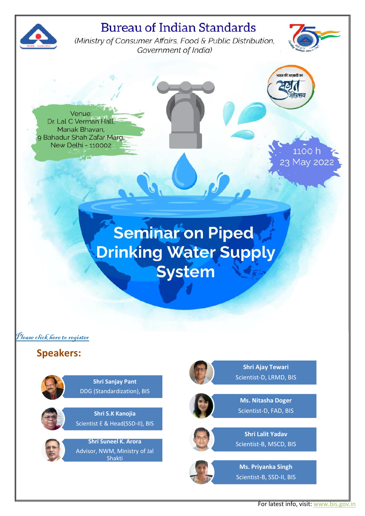## **Bureau of Indian Standards**



(Ministry of Consumer Affairs, Food & Public Distribution, Government of India)



Venue: Dr. Lal C Verman Hall Manak Bhavan. 9 Bahadur Shah Zafar Marg, New Delhi - 110002

23 May 202

1100 h

.<br>भारत की आजादी का

# **Seminar on Piped Drinking Water Supply System**

[Please click here to register](https://forms.gle/PtSBi95aM2SenemC9)

## **Speakers:**

**Shri Sanjay Pant** DDG (Standardization), BIS

**Shri S.K Kanojia**  Scientist E & Head(SSD-II), BIS



**Shri Suneel K. Arora**  Advisor, NWM, Ministry of Jal Shakti



**Shri Ajay Tewari** Scientist-D, LRMD, BIS



**Ms. Nitasha Doger** Scientist-D, FAD, BIS



**Shri Lalit Yadav**  Scientist-B, MSCD, BIS



**Ms. Priyanka Singh**  Scientist-B, SSD-II, BIS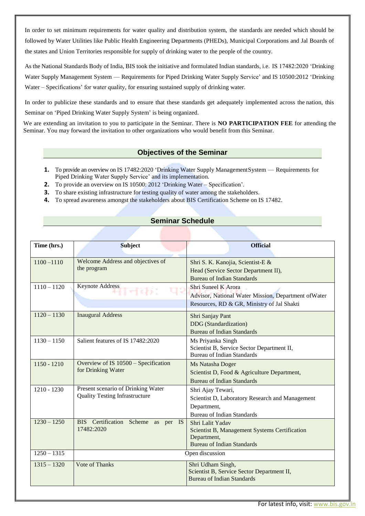In order to set minimum requirements for water quality and distribution system, the standards are needed which should be followed by Water Utilities like Public Health Engineering Departments (PHEDs), Municipal Corporations and Jal Boards of the states and Union Territories responsible for supply of drinking water to the people of the country.

As the National Standards Body of India, BIS took the initiative and formulated Indian standards, i.e. IS 17482:2020 'Drinking Water Supply Management System — Requirements for Piped Drinking Water Supply Service' and IS 10500:2012 'Drinking Water – Specifications' for water quality, for ensuring sustained supply of drinking water.

In order to publicize these standards and to ensure that these standards get adequately implemented across the nation, this Seminar on 'Piped Drinking Water Supply System' is being organized.

We are extending an invitation to you to participate in the Seminar. There is **NO PARTICIPATION FEE** for attending the Seminar. You may forward the invitation to other organizations who would benefit from this Seminar.

#### **Objectives of the Seminar**

- **1.** To provide an overview on IS 17482:2020 'Drinking Water Supply ManagementSystem Requirements for Piped Drinking Water Supply Service' and its implementation.
- **2.** To provide an overview on IS 10500: 2012 'Drinking Water Specification'.
- **3.** To share existing infrastructure for testing quality of water among the stakeholders.
- **4.** To spread awareness amongst the stakeholders about BIS Certification Scheme on IS 17482.

#### **Seminar Schedule**

| Time (hrs.)   | <b>Subject</b>                                                              | <b>Official</b>                                                                                                           |
|---------------|-----------------------------------------------------------------------------|---------------------------------------------------------------------------------------------------------------------------|
| $1100 - 1110$ | Welcome Address and objectives of<br>the program                            | Shri S. K. Kanojia, Scientist-E &<br>Head (Service Sector Department II),<br><b>Bureau of Indian Standards</b>            |
| $1110 - 1120$ | <b>Keynote Address</b>                                                      | Shri Suneel K Arora<br>Advisor, National Water Mission, Department of Water<br>Resources, RD & GR, Ministry of Jal Shakti |
| $1120 - 1130$ | <b>Inaugural Address</b>                                                    | Shri Sanjay Pant<br>DDG (Standardization)<br><b>Bureau of Indian Standards</b>                                            |
| $1130 - 1150$ | Salient features of IS 17482:2020                                           | Ms Priyanka Singh<br>Scientist B, Service Sector Department II,<br><b>Bureau of Indian Standards</b>                      |
| $1150 - 1210$ | Overview of IS 10500 - Specification<br>for Drinking Water                  | Ms Natasha Doger<br>Scientist D, Food & Agriculture Department,<br><b>Bureau of Indian Standards</b>                      |
| 1210 - 1230   | Present scenario of Drinking Water<br><b>Quality Testing Infrastructure</b> | Shri Ajay Tewari,<br>Scientist D, Laboratory Research and Management<br>Department,<br><b>Bureau of Indian Standards</b>  |
| $1230 - 1250$ | BIS Certification Scheme as per IS<br>17482:2020                            | Shri Lalit Yadav<br>Scientist B, Management Systems Certification<br>Department,<br><b>Bureau of Indian Standards</b>     |
| $1250 - 1315$ | Open discussion                                                             |                                                                                                                           |
| $1315 - 1320$ | <b>Vote of Thanks</b>                                                       | Shri Udham Singh,<br>Scientist B, Service Sector Department II,<br><b>Bureau of Indian Standards</b>                      |